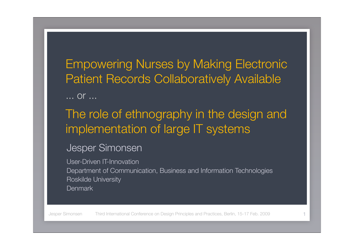Empowering Nurses by Making Electronic Patient Records Collaboratively Available

... or ...

### The role of ethnography in the design and implementation of large IT systems

#### Jesper Simonsen

User-Driven IT-Innovation Department of Communication, Business and Information Technologies Roskilde University **Denmark**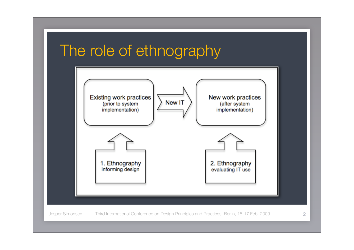# The role of ethnography

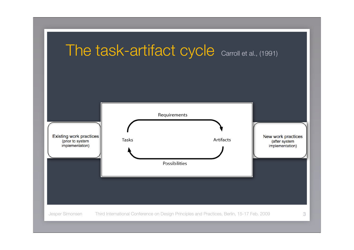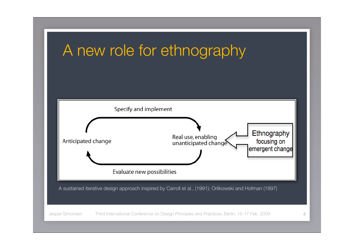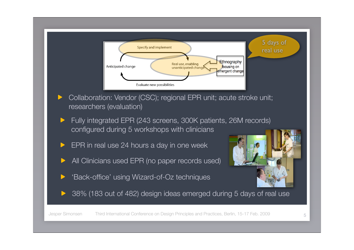

- Collaboration: Vendor (CSC); regional EPR unit; acute stroke unit; researchers (evaluation)
- Fully integrated EPR (243 screens, 300K patients, 26M records) configured during 5 workshops with clinicians
- EPR in real use 24 hours a day in one week
- All Clinicians used EPR (no paper records used)
- 'Back-office' using Wizard-of-Oz techniques



38% (183 out of 482) design ideas emerged during 5 days of real use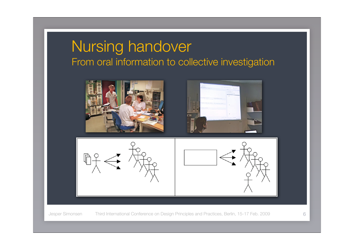## Nursing handover From oral information to collective investigation

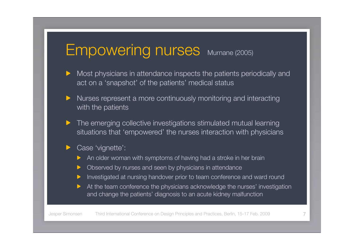# Empowering nurses Murnane (2005)

- Most physicians in attendance inspects the patients periodically and act on a 'snapshot' of the patients' medical status
- Nurses represent a more continuously monitoring and interacting with the patients
- The emerging collective investigations stimulated mutual learning situations that 'empowered' the nurses interaction with physicians
- Case 'vignette':
	- An older woman with symptoms of having had a stroke in her brain
	- Observed by nurses and seen by physicians in attendance
	- Investigated at nursing handover prior to team conference and ward round
	- At the team conference the physicians acknowledge the nurses' investigation and change the patients' diagnosis to an acute kidney malfunction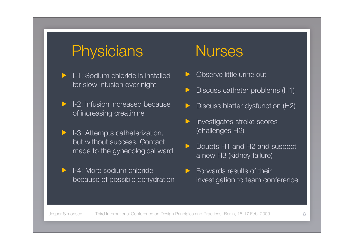# Physicians Nurses

- I-1: Sodium chloride is installed for slow infusion over night
- I-2: Infusion increased because of increasing creatinine
- I-3: Attempts catheterization, but without success. Contact made to the gynecological ward
- I-4: More sodium chloride because of possible dehydration

- Observe little urine out
- Discuss catheter problems (H1)
- Discuss blatter dysfunction (H2)
- Investigates stroke scores (challenges H2)
- Doubts H1 and H2 and suspect a new H3 (kidney failure)
- Forwards results of their investigation to team conference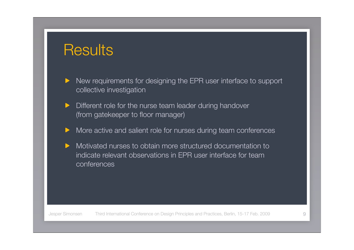# **Results**

- New requirements for designing the EPR user interface to support collective investigation
- Different role for the nurse team leader during handover (from gatekeeper to floor manager)
- More active and salient role for nurses during team conferences
- Motivated nurses to obtain more structured documentation to indicate relevant observations in EPR user interface for team conferences